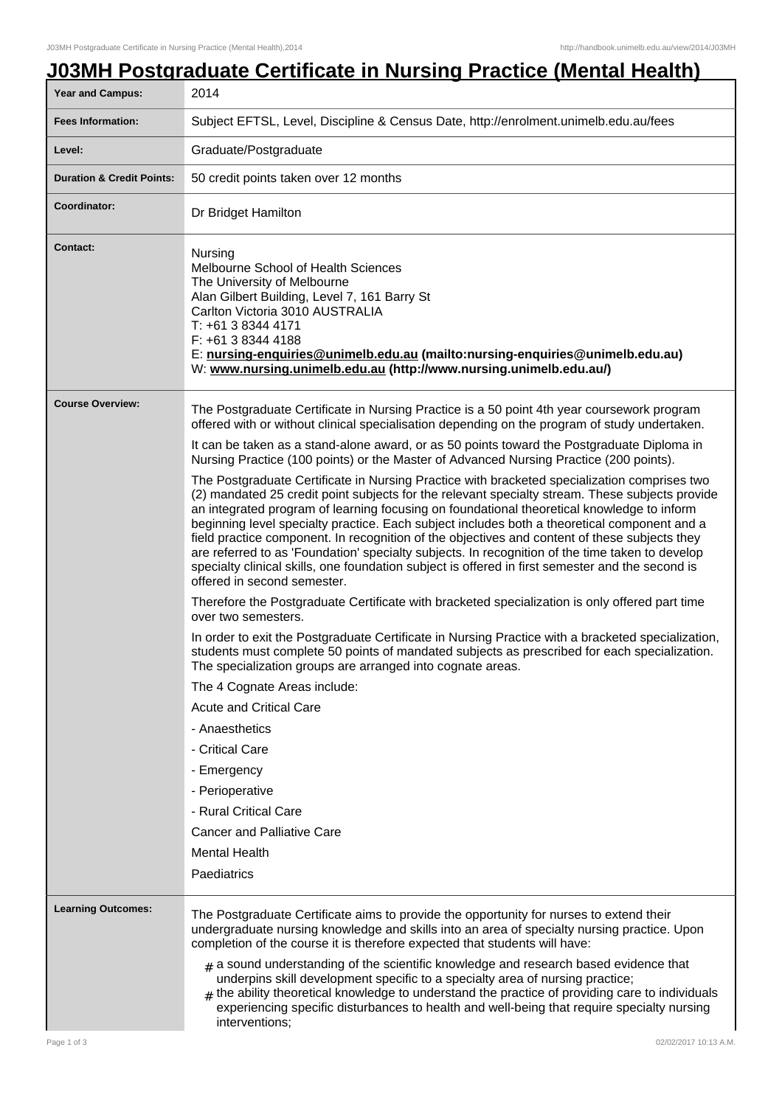## **J03MH Postgraduate Certificate in Nursing Practice (Mental Health)**

| Year and Campus:                     | 2014                                                                                                                                                                                                                                                                                                                                                                                                                                                                                                                                                                                                                                                                                                                                 |
|--------------------------------------|--------------------------------------------------------------------------------------------------------------------------------------------------------------------------------------------------------------------------------------------------------------------------------------------------------------------------------------------------------------------------------------------------------------------------------------------------------------------------------------------------------------------------------------------------------------------------------------------------------------------------------------------------------------------------------------------------------------------------------------|
| <b>Fees Information:</b>             | Subject EFTSL, Level, Discipline & Census Date, http://enrolment.unimelb.edu.au/fees                                                                                                                                                                                                                                                                                                                                                                                                                                                                                                                                                                                                                                                 |
| Level:                               | Graduate/Postgraduate                                                                                                                                                                                                                                                                                                                                                                                                                                                                                                                                                                                                                                                                                                                |
| <b>Duration &amp; Credit Points:</b> | 50 credit points taken over 12 months                                                                                                                                                                                                                                                                                                                                                                                                                                                                                                                                                                                                                                                                                                |
| Coordinator:                         | Dr Bridget Hamilton                                                                                                                                                                                                                                                                                                                                                                                                                                                                                                                                                                                                                                                                                                                  |
| <b>Contact:</b>                      | Nursing<br>Melbourne School of Health Sciences<br>The University of Melbourne<br>Alan Gilbert Building, Level 7, 161 Barry St<br>Carlton Victoria 3010 AUSTRALIA<br>T: +61 3 8344 4171<br>F: +61 3 8344 4188<br>E: nursing-enquiries@unimelb.edu.au (mailto:nursing-enquiries@unimelb.edu.au)<br>W: www.nursing.unimelb.edu.au (http://www.nursing.unimelb.edu.au/)                                                                                                                                                                                                                                                                                                                                                                  |
| <b>Course Overview:</b>              | The Postgraduate Certificate in Nursing Practice is a 50 point 4th year coursework program<br>offered with or without clinical specialisation depending on the program of study undertaken.                                                                                                                                                                                                                                                                                                                                                                                                                                                                                                                                          |
|                                      | It can be taken as a stand-alone award, or as 50 points toward the Postgraduate Diploma in<br>Nursing Practice (100 points) or the Master of Advanced Nursing Practice (200 points).                                                                                                                                                                                                                                                                                                                                                                                                                                                                                                                                                 |
|                                      | The Postgraduate Certificate in Nursing Practice with bracketed specialization comprises two<br>(2) mandated 25 credit point subjects for the relevant specialty stream. These subjects provide<br>an integrated program of learning focusing on foundational theoretical knowledge to inform<br>beginning level specialty practice. Each subject includes both a theoretical component and a<br>field practice component. In recognition of the objectives and content of these subjects they<br>are referred to as 'Foundation' specialty subjects. In recognition of the time taken to develop<br>specialty clinical skills, one foundation subject is offered in first semester and the second is<br>offered in second semester. |
|                                      | Therefore the Postgraduate Certificate with bracketed specialization is only offered part time<br>over two semesters.                                                                                                                                                                                                                                                                                                                                                                                                                                                                                                                                                                                                                |
|                                      | In order to exit the Postgraduate Certificate in Nursing Practice with a bracketed specialization,<br>students must complete 50 points of mandated subjects as prescribed for each specialization.<br>The specialization groups are arranged into cognate areas.                                                                                                                                                                                                                                                                                                                                                                                                                                                                     |
|                                      | The 4 Cognate Areas include:                                                                                                                                                                                                                                                                                                                                                                                                                                                                                                                                                                                                                                                                                                         |
|                                      | <b>Acute and Critical Care</b>                                                                                                                                                                                                                                                                                                                                                                                                                                                                                                                                                                                                                                                                                                       |
|                                      | - Anaesthetics                                                                                                                                                                                                                                                                                                                                                                                                                                                                                                                                                                                                                                                                                                                       |
|                                      | - Critical Care                                                                                                                                                                                                                                                                                                                                                                                                                                                                                                                                                                                                                                                                                                                      |
|                                      | - Emergency                                                                                                                                                                                                                                                                                                                                                                                                                                                                                                                                                                                                                                                                                                                          |
|                                      | - Perioperative                                                                                                                                                                                                                                                                                                                                                                                                                                                                                                                                                                                                                                                                                                                      |
|                                      | - Rural Critical Care                                                                                                                                                                                                                                                                                                                                                                                                                                                                                                                                                                                                                                                                                                                |
|                                      | <b>Cancer and Palliative Care</b>                                                                                                                                                                                                                                                                                                                                                                                                                                                                                                                                                                                                                                                                                                    |
|                                      | <b>Mental Health</b>                                                                                                                                                                                                                                                                                                                                                                                                                                                                                                                                                                                                                                                                                                                 |
|                                      | Paediatrics                                                                                                                                                                                                                                                                                                                                                                                                                                                                                                                                                                                                                                                                                                                          |
| <b>Learning Outcomes:</b>            | The Postgraduate Certificate aims to provide the opportunity for nurses to extend their<br>undergraduate nursing knowledge and skills into an area of specialty nursing practice. Upon<br>completion of the course it is therefore expected that students will have:                                                                                                                                                                                                                                                                                                                                                                                                                                                                 |
|                                      | $_{\text{\#}}$ a sound understanding of the scientific knowledge and research based evidence that<br>underpins skill development specific to a specialty area of nursing practice;<br>$#$ the ability theoretical knowledge to understand the practice of providing care to individuals<br>experiencing specific disturbances to health and well-being that require specialty nursing<br>interventions;                                                                                                                                                                                                                                                                                                                              |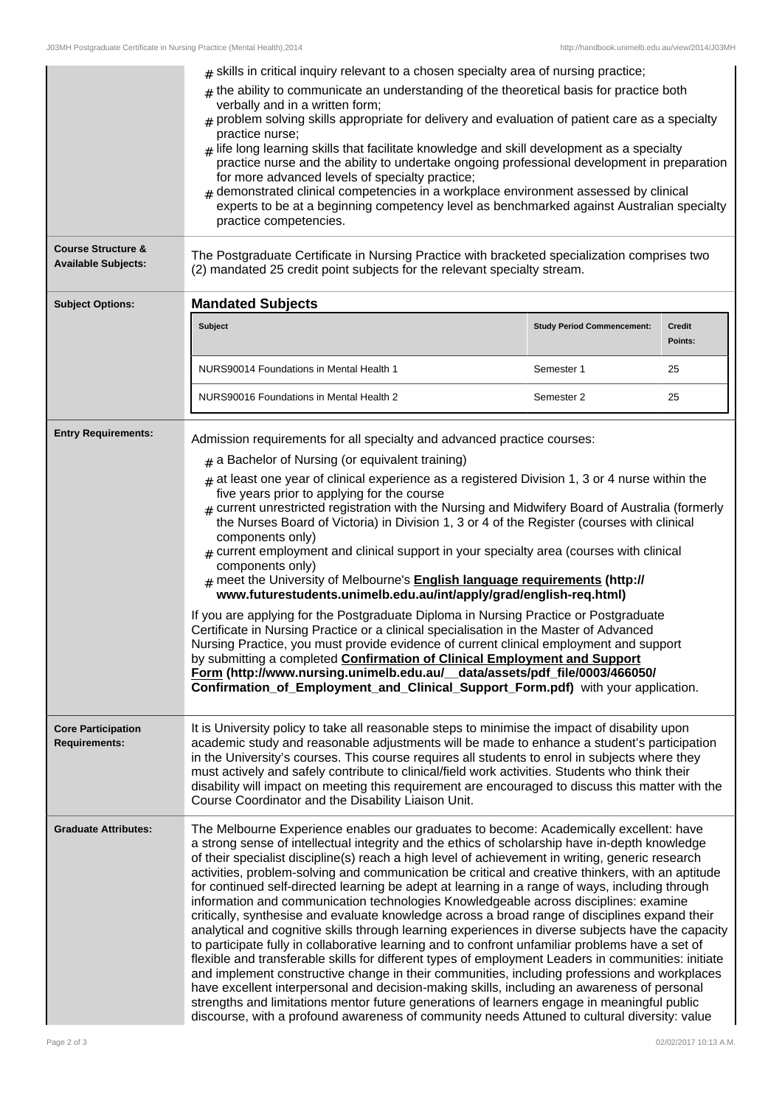|                                                             | $_{\text{\#}}$ skills in critical inquiry relevant to a chosen specialty area of nursing practice;<br>$#$ the ability to communicate an understanding of the theoretical basis for practice both<br>verbally and in a written form;<br>$_{\#}$ problem solving skills appropriate for delivery and evaluation of patient care as a specialty<br>practice nurse;<br>$_{\#}$ life long learning skills that facilitate knowledge and skill development as a specialty<br>practice nurse and the ability to undertake ongoing professional development in preparation<br>for more advanced levels of specialty practice;<br>$_{\#}$ demonstrated clinical competencies in a workplace environment assessed by clinical<br>experts to be at a beginning competency level as benchmarked against Australian specialty<br>practice competencies.                                                                                                                                                                                                                                                                                                                                                                                                                                                                                                                                                                    |                                   |                          |
|-------------------------------------------------------------|---------------------------------------------------------------------------------------------------------------------------------------------------------------------------------------------------------------------------------------------------------------------------------------------------------------------------------------------------------------------------------------------------------------------------------------------------------------------------------------------------------------------------------------------------------------------------------------------------------------------------------------------------------------------------------------------------------------------------------------------------------------------------------------------------------------------------------------------------------------------------------------------------------------------------------------------------------------------------------------------------------------------------------------------------------------------------------------------------------------------------------------------------------------------------------------------------------------------------------------------------------------------------------------------------------------------------------------------------------------------------------------------------------------|-----------------------------------|--------------------------|
| <b>Course Structure &amp;</b><br><b>Available Subjects:</b> | The Postgraduate Certificate in Nursing Practice with bracketed specialization comprises two<br>(2) mandated 25 credit point subjects for the relevant specialty stream.                                                                                                                                                                                                                                                                                                                                                                                                                                                                                                                                                                                                                                                                                                                                                                                                                                                                                                                                                                                                                                                                                                                                                                                                                                      |                                   |                          |
| <b>Subject Options:</b>                                     | <b>Mandated Subjects</b>                                                                                                                                                                                                                                                                                                                                                                                                                                                                                                                                                                                                                                                                                                                                                                                                                                                                                                                                                                                                                                                                                                                                                                                                                                                                                                                                                                                      |                                   |                          |
|                                                             | Subject                                                                                                                                                                                                                                                                                                                                                                                                                                                                                                                                                                                                                                                                                                                                                                                                                                                                                                                                                                                                                                                                                                                                                                                                                                                                                                                                                                                                       | <b>Study Period Commencement:</b> | <b>Credit</b><br>Points: |
|                                                             | NURS90014 Foundations in Mental Health 1                                                                                                                                                                                                                                                                                                                                                                                                                                                                                                                                                                                                                                                                                                                                                                                                                                                                                                                                                                                                                                                                                                                                                                                                                                                                                                                                                                      | Semester 1                        | 25                       |
|                                                             | NURS90016 Foundations in Mental Health 2                                                                                                                                                                                                                                                                                                                                                                                                                                                                                                                                                                                                                                                                                                                                                                                                                                                                                                                                                                                                                                                                                                                                                                                                                                                                                                                                                                      | Semester 2                        | 25                       |
| <b>Entry Requirements:</b>                                  | Admission requirements for all specialty and advanced practice courses:<br>$#$ a Bachelor of Nursing (or equivalent training)<br>$#$ at least one year of clinical experience as a registered Division 1, 3 or 4 nurse within the<br>five years prior to applying for the course<br>$_{\text{\#}}$ current unrestricted registration with the Nursing and Midwifery Board of Australia (formerly<br>the Nurses Board of Victoria) in Division 1, 3 or 4 of the Register (courses with clinical<br>components only)<br>$*$ current employment and clinical support in your specialty area (courses with clinical<br>components only)<br>$*$ meet the University of Melbourne's <b>English language requirements (http://</b><br>www.futurestudents.unimelb.edu.au/int/apply/grad/english-req.html)<br>If you are applying for the Postgraduate Diploma in Nursing Practice or Postgraduate<br>Certificate in Nursing Practice or a clinical specialisation in the Master of Advanced<br>Nursing Practice, you must provide evidence of current clinical employment and support<br>by submitting a completed Confirmation of Clinical Employment and Support<br>Form (http://www.nursing.unimelb.edu.au/_data/assets/pdf_file/0003/466050/<br>Confirmation of Employment and Clinical Support Form.pdf) with your application.                                                                                  |                                   |                          |
| <b>Core Participation</b><br><b>Requirements:</b>           | It is University policy to take all reasonable steps to minimise the impact of disability upon<br>academic study and reasonable adjustments will be made to enhance a student's participation<br>in the University's courses. This course requires all students to enrol in subjects where they<br>must actively and safely contribute to clinical/field work activities. Students who think their<br>disability will impact on meeting this requirement are encouraged to discuss this matter with the<br>Course Coordinator and the Disability Liaison Unit.                                                                                                                                                                                                                                                                                                                                                                                                                                                                                                                                                                                                                                                                                                                                                                                                                                                |                                   |                          |
| <b>Graduate Attributes:</b>                                 | The Melbourne Experience enables our graduates to become: Academically excellent: have<br>a strong sense of intellectual integrity and the ethics of scholarship have in-depth knowledge<br>of their specialist discipline(s) reach a high level of achievement in writing, generic research<br>activities, problem-solving and communication be critical and creative thinkers, with an aptitude<br>for continued self-directed learning be adept at learning in a range of ways, including through<br>information and communication technologies Knowledgeable across disciplines: examine<br>critically, synthesise and evaluate knowledge across a broad range of disciplines expand their<br>analytical and cognitive skills through learning experiences in diverse subjects have the capacity<br>to participate fully in collaborative learning and to confront unfamiliar problems have a set of<br>flexible and transferable skills for different types of employment Leaders in communities: initiate<br>and implement constructive change in their communities, including professions and workplaces<br>have excellent interpersonal and decision-making skills, including an awareness of personal<br>strengths and limitations mentor future generations of learners engage in meaningful public<br>discourse, with a profound awareness of community needs Attuned to cultural diversity: value |                                   |                          |